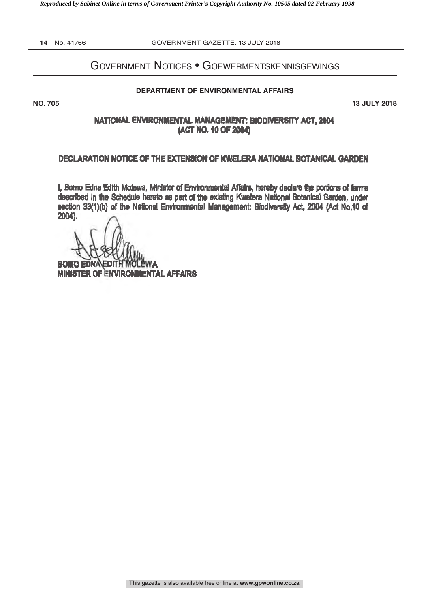*Reproduced by Sabinet Online in terms of Government Printer's Copyright Authority No. 10505 dated 02 February 1998* 

**14** No. 41766 GOVERNMENT GAZETTE, 13 JULY 2018

# Government Notices • Goewermentskennisgewings

#### **DEPARTMENT OF ENVIRONMENTAL AFFAIRS**

**NO. 705 13 JULY 2018**

### NATIONAL ENVIRONMENTAL MANAGEMENT: BIODIVERSITY ACT, 2004 (ACT NO. 10 OF 2004)

#### DECLARATION NOTICE OF THE EXTENSION OF KWELERA NATIONAL BOTANICAL GARDEN

I, Bomo Edna Edith Molewa, Minister of Environmental Affairs, hereby declare the portions of fans described In the Schedule hereto as part of the existing Kwelera National Botanical Garden, under section 33(1)(b) of the National Environmental Management: Biodiversity Act, 2004 (Act No.10 of Z004).

**BOMO NA MINISTER OF ENVIRONMENTAL AFFAIRS**